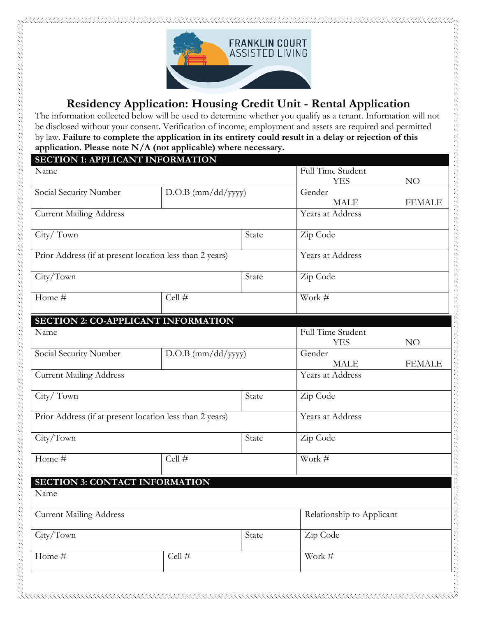

# **Residency Application: Housing Credit Unit - Rental Application**

The information collected below will be used to determine whether you qualify as a tenant. Information will not be disclosed without your consent. Verification of income, employment and assets are required and permitted by law. **Failure to complete the application in its entirety could result in a delay or rejection of this application. Please note N/A (not applicable) where necessary.**

| <b>SECTION 1: APPLICANT INFORMATION</b>                  |                      |                   |                           |               |
|----------------------------------------------------------|----------------------|-------------------|---------------------------|---------------|
| Name                                                     |                      | Full Time Student |                           |               |
|                                                          |                      |                   | <b>YES</b>                | NO            |
| Social Security Number                                   | $D.O.B$ (mm/dd/yyyy) |                   | Gender                    |               |
|                                                          |                      |                   | <b>MALE</b>               | <b>FEMALE</b> |
| <b>Current Mailing Address</b>                           |                      |                   | Years at Address          |               |
| City/Town                                                |                      | State             | Zip Code                  |               |
| Prior Address (if at present location less than 2 years) |                      |                   | Years at Address          |               |
| City/Town                                                |                      | State             | Zip Code                  |               |
| Home #                                                   | Cell #               |                   | Work #                    |               |
| <b>SECTION 2: CO-APPLICANT INFORMATION</b>               |                      |                   |                           |               |
| Name                                                     |                      |                   | Full Time Student         |               |
|                                                          |                      |                   | <b>YES</b>                | NO            |
| Social Security Number                                   | $D.O.B$ (mm/dd/yyyy) |                   | Gender                    |               |
|                                                          |                      |                   | <b>MALE</b>               | <b>FEMALE</b> |
| <b>Current Mailing Address</b>                           |                      | Years at Address  |                           |               |
| City/Town                                                |                      | State             | Zip Code                  |               |
| Prior Address (if at present location less than 2 years) |                      | Years at Address  |                           |               |
| City/Town                                                |                      | State             | Zip Code                  |               |
| Home #                                                   | Cell #               |                   | Work #                    |               |
| <b>SECTION 3: CONTACT INFORMATION</b>                    |                      |                   |                           |               |
| Name                                                     |                      |                   |                           |               |
| <b>Current Mailing Address</b>                           |                      |                   | Relationship to Applicant |               |
| City/Town                                                |                      | State             | Zip Code                  |               |
| Home #                                                   | Cell #               |                   | Work $\#$                 |               |
|                                                          |                      |                   |                           |               |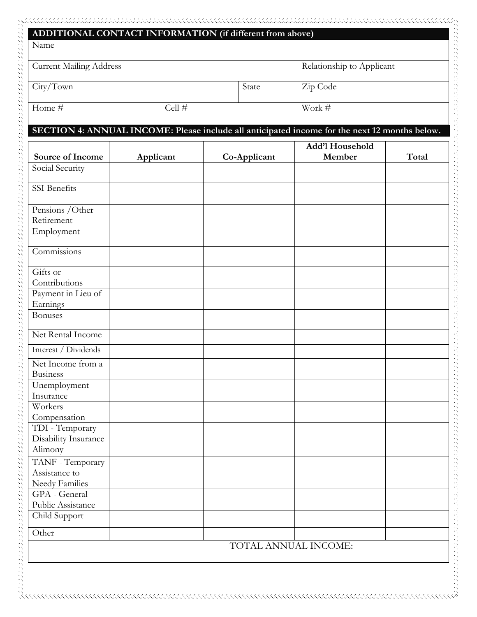| <b>Current Mailing Address</b>                      |           | Relationship to Applicant |                                                                                               |       |
|-----------------------------------------------------|-----------|---------------------------|-----------------------------------------------------------------------------------------------|-------|
| City/Town                                           |           | State                     | Zip Code                                                                                      |       |
| Home #                                              | Cell #    |                           | Work #                                                                                        |       |
|                                                     |           |                           | SECTION 4: ANNUAL INCOME: Please include all anticipated income for the next 12 months below. |       |
| Source of Income                                    | Applicant | Co-Applicant              | Add'l Household<br>Member                                                                     | Total |
| Social Security                                     |           |                           |                                                                                               |       |
| SSI Benefits                                        |           |                           |                                                                                               |       |
| Pensions / Other                                    |           |                           |                                                                                               |       |
| Retirement<br>Employment                            |           |                           |                                                                                               |       |
| Commissions                                         |           |                           |                                                                                               |       |
| Gifts or<br>Contributions                           |           |                           |                                                                                               |       |
| Payment in Lieu of<br>Earnings                      |           |                           |                                                                                               |       |
| <b>Bonuses</b>                                      |           |                           |                                                                                               |       |
| Net Rental Income                                   |           |                           |                                                                                               |       |
| Interest / Dividends                                |           |                           |                                                                                               |       |
| Net Income from a<br><b>Business</b>                |           |                           |                                                                                               |       |
| Unemployment<br>Insurance                           |           |                           |                                                                                               |       |
| Workers<br>Compensation                             |           |                           |                                                                                               |       |
| TDI - Temporary<br>Disability Insurance             |           |                           |                                                                                               |       |
| Alimony                                             |           |                           |                                                                                               |       |
| TANF - Temporary<br>Assistance to<br>Needy Families |           |                           |                                                                                               |       |
| GPA - General                                       |           |                           |                                                                                               |       |
| Public Assistance<br>Child Support                  |           |                           |                                                                                               |       |
| Other                                               |           |                           |                                                                                               |       |
|                                                     |           |                           | TOTAL ANNUAL INCOME:                                                                          |       |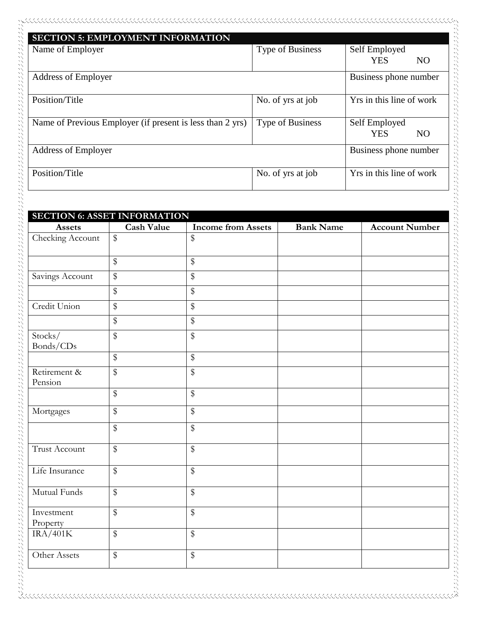| <b>SECTION 5: EMPLOYMENT INFORMATION</b>                  |                         |                              |
|-----------------------------------------------------------|-------------------------|------------------------------|
| Name of Employer                                          | <b>Type of Business</b> | Self Employed                |
|                                                           |                         | <b>YES</b><br>N <sub>O</sub> |
| <b>Address of Employer</b>                                |                         | Business phone number        |
| Position/Title                                            | No. of yrs at job       | Yrs in this line of work     |
| Name of Previous Employer (if present is less than 2 yrs) | <b>Type of Business</b> | Self Employed                |
|                                                           |                         | <b>YES</b><br>N <sub>O</sub> |
| <b>Address of Employer</b>                                |                         | Business phone number        |
| Position/Title                                            | No. of yrs at job       | Yrs in this line of work     |

パンプランジング アンプランジング アンプランジング アンプランジング

a de la proprieta de la proprieta de la proprieta de la proprieta de la proprieta de la proprieta de la proprie

| <b>SECTION 6: ASSET INFORMATION</b> |                         |                           |                  |                       |
|-------------------------------------|-------------------------|---------------------------|------------------|-----------------------|
| Assets                              | <b>Cash Value</b>       | <b>Income from Assets</b> | <b>Bank Name</b> | <b>Account Number</b> |
| Checking Account                    | $\overline{\$}$         | \$                        |                  |                       |
|                                     | $\overline{\mathbb{S}}$ | $\overline{\mathbb{S}}$   |                  |                       |
| Savings Account                     | $\overline{\$}$         | $\sqrt[6]{\frac{1}{2}}$   |                  |                       |
|                                     | $\$\$                   | $\$\$                     |                  |                       |
| Credit Union                        | $\overline{\$}$         | $\overline{\mathcal{S}}$  |                  |                       |
|                                     | $\overline{\$}$         | $\$\$                     |                  |                       |
| Stocks/<br>Bonds/CDs                | $\overline{\$}$         | $\$\$                     |                  |                       |
|                                     | $\overline{\$}$         | $\$\$                     |                  |                       |
| Retirement &<br>Pension             | $\overline{\$}$         | $\$\$                     |                  |                       |
|                                     | $\overline{\$}$         | $\overline{\$}$           |                  |                       |
| Mortgages                           | $\$\$                   | $\$\$                     |                  |                       |
|                                     | $\overline{\$}$         | $\mathbb{S}$              |                  |                       |
| <b>Trust Account</b>                | $\overline{\$}$         | $\sqrt[6]{\frac{1}{2}}$   |                  |                       |
| Life Insurance                      | $\overline{\$}$         | $\overline{\$}$           |                  |                       |
| Mutual Funds                        | $\overline{\$}$         | $\overline{\mathcal{S}}$  |                  |                       |
| Investment<br>Property              | $\overline{\$}$         | $\sqrt[6]{\frac{1}{2}}$   |                  |                       |
| IRA/401K                            | $\overline{\$}$         | $\sqrt[6]{\frac{1}{2}}$   |                  |                       |
| Other Assets                        | $\overline{\$}$         | $\mathbb{S}$              |                  |                       |

 $\chi$  . The construction of the construction of the construction of the construction of the construction of the construction of the construction of the construction of the construction of the construction of the constructi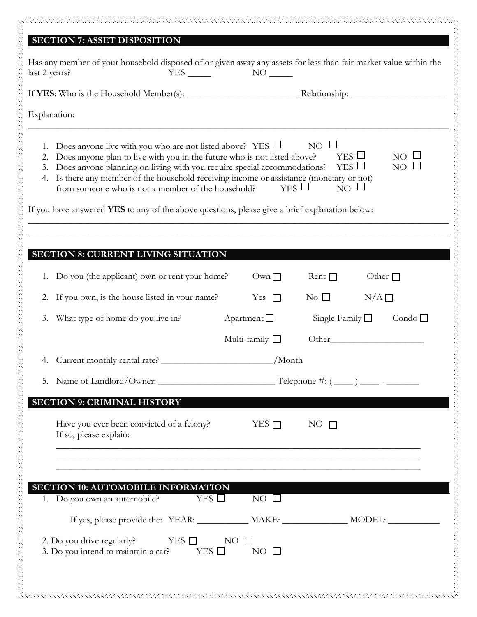## **SECTION 7: ASSET DISPOSITION**

...................................

| Explanation:                                                                                                                                                                                                                                                                                                                                                                                                                                                                       |                          |                                                                                |                 |
|------------------------------------------------------------------------------------------------------------------------------------------------------------------------------------------------------------------------------------------------------------------------------------------------------------------------------------------------------------------------------------------------------------------------------------------------------------------------------------|--------------------------|--------------------------------------------------------------------------------|-----------------|
| 1. Does anyone live with you who are not listed above? YES $\Box$<br>2. Does anyone plan to live with you in the future who is not listed above?<br>3. Does anyone planning on living with you require special accommodations?<br>4. Is there any member of the household receiving income or assistance (monetary or not)<br>from someone who is not a member of the household?<br>If you have answered YES to any of the above questions, please give a brief explanation below: |                          | $NO \Box$<br>$YES$ $\square$<br>$YES$ $\square$<br>$YES$ $\Box$<br>$NO$ $\Box$ | NO<br>NO        |
|                                                                                                                                                                                                                                                                                                                                                                                                                                                                                    |                          |                                                                                |                 |
| <b>SECTION 8: CURRENT LIVING SITUATION</b>                                                                                                                                                                                                                                                                                                                                                                                                                                         |                          |                                                                                |                 |
| 1. Do you (the applicant) own or rent your home?                                                                                                                                                                                                                                                                                                                                                                                                                                   | Own                      | Rent $\Box$                                                                    | Other $\Box$    |
| 2. If you own, is the house listed in your name?                                                                                                                                                                                                                                                                                                                                                                                                                                   | Yes $\Box$               | $\rm No$ $\Box$                                                                | $N/A$ $\square$ |
| 3. What type of home do you live in?                                                                                                                                                                                                                                                                                                                                                                                                                                               | $\Delta$ partment $\Box$ | Single Family $\Box$                                                           | Condo $\Box$    |
|                                                                                                                                                                                                                                                                                                                                                                                                                                                                                    | Multi-family $\Box$      |                                                                                |                 |
| 4. Current monthly rental rate? ______________________________/Month                                                                                                                                                                                                                                                                                                                                                                                                               |                          |                                                                                |                 |
|                                                                                                                                                                                                                                                                                                                                                                                                                                                                                    |                          |                                                                                |                 |
| <b>SECTION 9: CRIMINAL HISTORY</b>                                                                                                                                                                                                                                                                                                                                                                                                                                                 |                          |                                                                                |                 |
| Have you ever been convicted of a felony?<br>If so, please explain:                                                                                                                                                                                                                                                                                                                                                                                                                | YES $\Box$               | $NO \Gamma$                                                                    |                 |
| <b>SECTION 10: AUTOMOBILE INFORMATION</b><br>YES $\Box$<br>1. Do you own an automobile?                                                                                                                                                                                                                                                                                                                                                                                            | $NO$ $\Box$              |                                                                                |                 |
| If yes, please provide the: YEAR: __________ MAKE: ___________ MODEL: ________                                                                                                                                                                                                                                                                                                                                                                                                     |                          |                                                                                |                 |
| 2. Do you drive regularly?<br>YES $\Box$<br>3. Do you intend to maintain a car?<br>YES $\square$                                                                                                                                                                                                                                                                                                                                                                                   | NO .<br>$NO$ $\square$   |                                                                                |                 |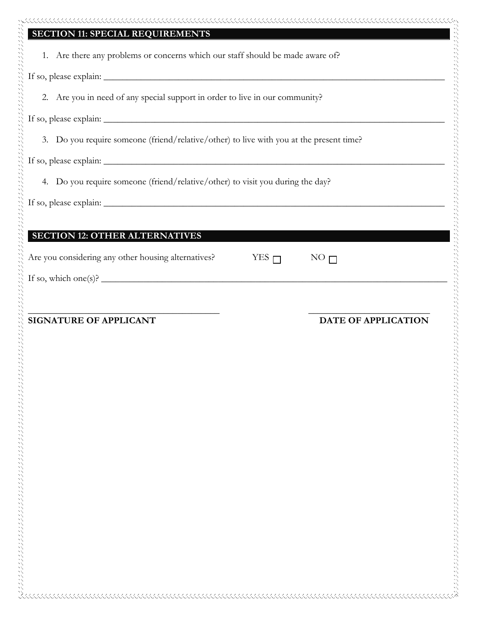| 2. Are you in need of any special support in order to live in our community?            |            |                            |
|-----------------------------------------------------------------------------------------|------------|----------------------------|
|                                                                                         |            |                            |
|                                                                                         |            |                            |
|                                                                                         |            |                            |
| 3. Do you require someone (friend/relative/other) to live with you at the present time? |            |                            |
|                                                                                         |            |                            |
| 4. Do you require someone (friend/relative/other) to visit you during the day?          |            |                            |
|                                                                                         |            |                            |
|                                                                                         |            |                            |
| <b>SECTION 12: OTHER ALTERNATIVES</b>                                                   |            |                            |
| Are you considering any other housing alternatives?                                     | YES $\Box$ | NO <sub>l</sub>            |
| If so, which one(s)? $\qquad \qquad$                                                    |            |                            |
|                                                                                         |            |                            |
| <b>SIGNATURE OF APPLICANT</b>                                                           |            | <b>DATE OF APPLICATION</b> |
|                                                                                         |            |                            |
|                                                                                         |            |                            |
|                                                                                         |            |                            |
|                                                                                         |            |                            |
|                                                                                         |            |                            |
|                                                                                         |            |                            |
|                                                                                         |            |                            |
|                                                                                         |            |                            |
|                                                                                         |            |                            |
|                                                                                         |            |                            |
|                                                                                         |            |                            |
|                                                                                         |            |                            |
|                                                                                         |            |                            |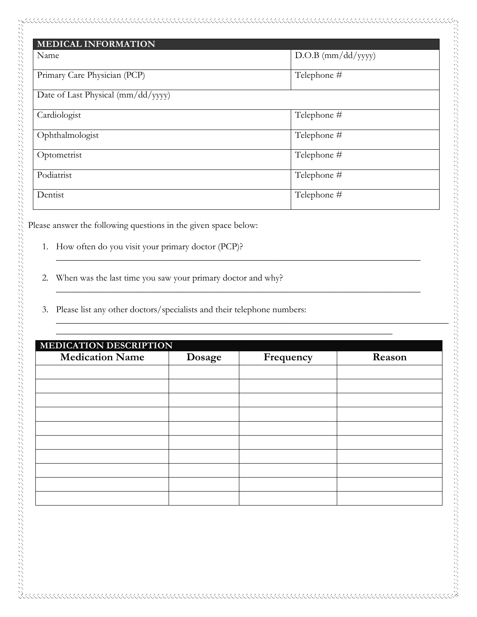| <b>MEDICAL INFORMATION</b>         |                      |
|------------------------------------|----------------------|
| Name                               | $D.O.B$ (mm/dd/yyyy) |
| Primary Care Physician (PCP)       | Telephone #          |
| Date of Last Physical (mm/dd/yyyy) |                      |
| Cardiologist                       | Telephone #          |
| Ophthalmologist                    | Telephone #          |
| Optometrist                        | Telephone #          |
| Podiatrist                         | Telephone #          |
| Dentist                            | Telephone #          |

\_\_\_\_\_\_\_\_\_\_\_\_\_\_\_\_\_\_\_\_\_\_\_\_\_\_\_\_\_\_\_\_\_\_\_\_\_\_\_\_\_\_\_\_\_\_\_\_\_\_\_\_\_\_\_\_\_\_\_\_\_\_\_\_\_\_\_\_\_\_\_\_\_\_\_\_\_\_

\_\_\_\_\_\_\_\_\_\_\_\_\_\_\_\_\_\_\_\_\_\_\_\_\_\_\_\_\_\_\_\_\_\_\_\_\_\_\_\_\_\_\_\_\_\_\_\_\_\_\_\_\_\_\_\_\_\_\_\_\_\_\_\_\_\_\_\_\_\_\_\_\_\_\_\_\_\_

 $\_$  , and the set of the set of the set of the set of the set of the set of the set of the set of the set of the set of the set of the set of the set of the set of the set of the set of the set of the set of the set of th

\_\_\_\_\_\_\_\_\_\_\_\_\_\_\_\_\_\_\_\_\_\_\_\_\_\_\_\_\_\_\_\_\_\_\_\_\_\_\_\_\_\_\_\_\_\_\_\_\_\_\_\_\_\_\_\_\_\_\_\_\_\_\_\_\_\_\_\_\_\_\_\_\_\_\_\_\_\_\_\_\_\_\_\_

Please answer the following questions in the given space below:

- 1. How often do you visit your primary doctor (PCP)?
- 2. When was the last time you saw your primary doctor and why?
- 3. Please list any other doctors/specialists and their telephone numbers:

| <b>MEDICATION DESCRIPTION</b> |        |           |        |  |
|-------------------------------|--------|-----------|--------|--|
| <b>Medication Name</b>        | Dosage | Frequency | Reason |  |
|                               |        |           |        |  |
|                               |        |           |        |  |
|                               |        |           |        |  |
|                               |        |           |        |  |
|                               |        |           |        |  |
|                               |        |           |        |  |
|                               |        |           |        |  |
|                               |        |           |        |  |
|                               |        |           |        |  |
|                               |        |           |        |  |
|                               |        |           |        |  |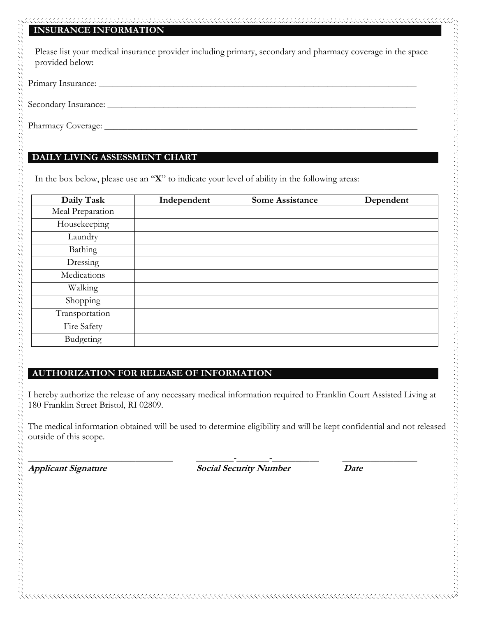#### **INSURANCE INFORMATION**

 Please list your medical insurance provider including primary, secondary and pharmacy coverage in the space provided below:

Primary Insurance: \_\_\_\_\_\_\_\_\_\_\_\_\_\_\_\_\_\_\_\_\_\_\_\_\_\_\_\_\_\_\_\_\_\_\_\_\_\_\_\_\_\_\_\_\_\_\_\_\_\_\_\_\_\_\_\_\_\_\_\_\_\_\_\_\_\_\_\_

Secondary Insurance: \_\_\_\_\_\_\_\_\_\_\_\_\_\_\_\_\_\_\_\_\_\_\_\_\_\_\_\_\_\_\_\_\_\_\_\_\_\_\_\_\_\_\_\_\_\_\_\_\_\_\_\_\_\_\_\_\_\_\_\_\_\_\_\_\_\_

Pharmacy Coverage: \_\_\_\_\_\_\_\_\_\_\_\_\_\_\_\_\_\_\_\_\_\_\_\_\_\_\_\_\_\_\_\_\_\_\_\_\_\_\_\_\_\_\_\_\_\_\_\_\_\_\_\_\_\_\_\_\_\_\_\_\_\_\_\_\_\_\_

#### **DAILY LIVING ASSESSMENT CHART**

In the box below, please use an "**X**" to indicate your level of ability in the following areas:

| Daily Task       | Independent | <b>Some Assistance</b> | Dependent |
|------------------|-------------|------------------------|-----------|
| Meal Preparation |             |                        |           |
| Housekeeping     |             |                        |           |
| Laundry          |             |                        |           |
| Bathing          |             |                        |           |
| Dressing         |             |                        |           |
| Medications      |             |                        |           |
| Walking          |             |                        |           |
| Shopping         |             |                        |           |
| Transportation   |             |                        |           |
| Fire Safety      |             |                        |           |
| Budgeting        |             |                        |           |

#### **AUTHORIZATION FOR RELEASE OF INFORMATION**

I hereby authorize the release of any necessary medical information required to Franklin Court Assisted Living at 180 Franklin Street Bristol, RI 02809.

The medical information obtained will be used to determine eligibility and will be kept confidential and not released outside of this scope.

\_\_\_\_\_\_\_\_\_\_\_\_\_\_\_\_\_\_\_\_\_\_\_\_\_\_\_\_\_\_\_ \_\_\_\_\_\_\_\_-\_\_\_\_\_\_\_-\_\_\_\_\_\_\_\_\_\_ \_\_\_\_\_\_\_\_\_\_\_\_\_\_\_\_ **Applicant Signature Social Security Number Date**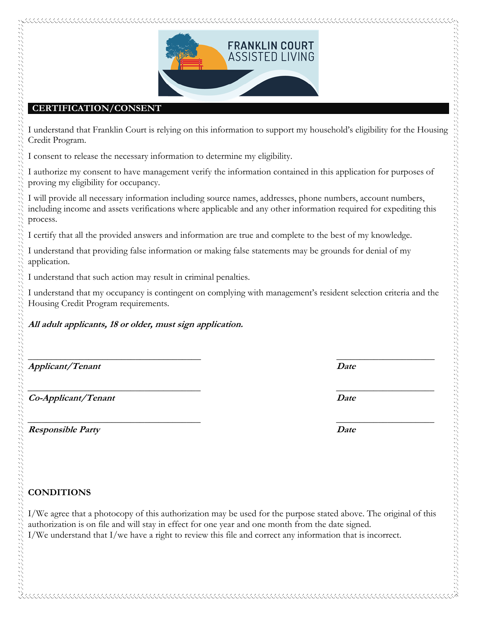

#### **CERTIFICATION/CONSENT**

I understand that Franklin Court is relying on this information to support my household's eligibility for the Housing Credit Program.

I consent to release the necessary information to determine my eligibility.

I authorize my consent to have management verify the information contained in this application for purposes of proving my eligibility for occupancy.

I will provide all necessary information including source names, addresses, phone numbers, account numbers, including income and assets verifications where applicable and any other information required for expediting this process.

I certify that all the provided answers and information are true and complete to the best of my knowledge.

I understand that providing false information or making false statements may be grounds for denial of my application.

I understand that such action may result in criminal penalties.

I understand that my occupancy is contingent on complying with management's resident selection criteria and the Housing Credit Program requirements.

#### **All adult applicants, 18 or older, must sign application.**

**Applicant/Tenant Date**

**Co-Applicant/Tenant Date**

**Responsible Party Date** 

**\_\_\_\_\_\_\_\_\_\_\_\_\_\_\_\_\_\_\_\_\_\_\_\_\_\_\_\_\_\_\_\_\_\_\_\_\_ \_\_\_\_\_\_\_\_\_\_\_\_\_\_\_\_\_\_\_\_\_**

**\_\_\_\_\_\_\_\_\_\_\_\_\_\_\_\_\_\_\_\_\_\_\_\_\_\_\_\_\_\_\_\_\_\_\_\_\_ \_\_\_\_\_\_\_\_\_\_\_\_\_\_\_\_\_\_\_\_\_**

**\_\_\_\_\_\_\_\_\_\_\_\_\_\_\_\_\_\_\_\_\_\_\_\_\_\_\_\_\_\_\_\_\_\_\_\_\_ \_\_\_\_\_\_\_\_\_\_\_\_\_\_\_\_\_\_\_\_\_**

## **CONDITIONS**

I/We agree that a photocopy of this authorization may be used for the purpose stated above. The original of this authorization is on file and will stay in effect for one year and one month from the date signed. I/We understand that I/we have a right to review this file and correct any information that is incorrect.